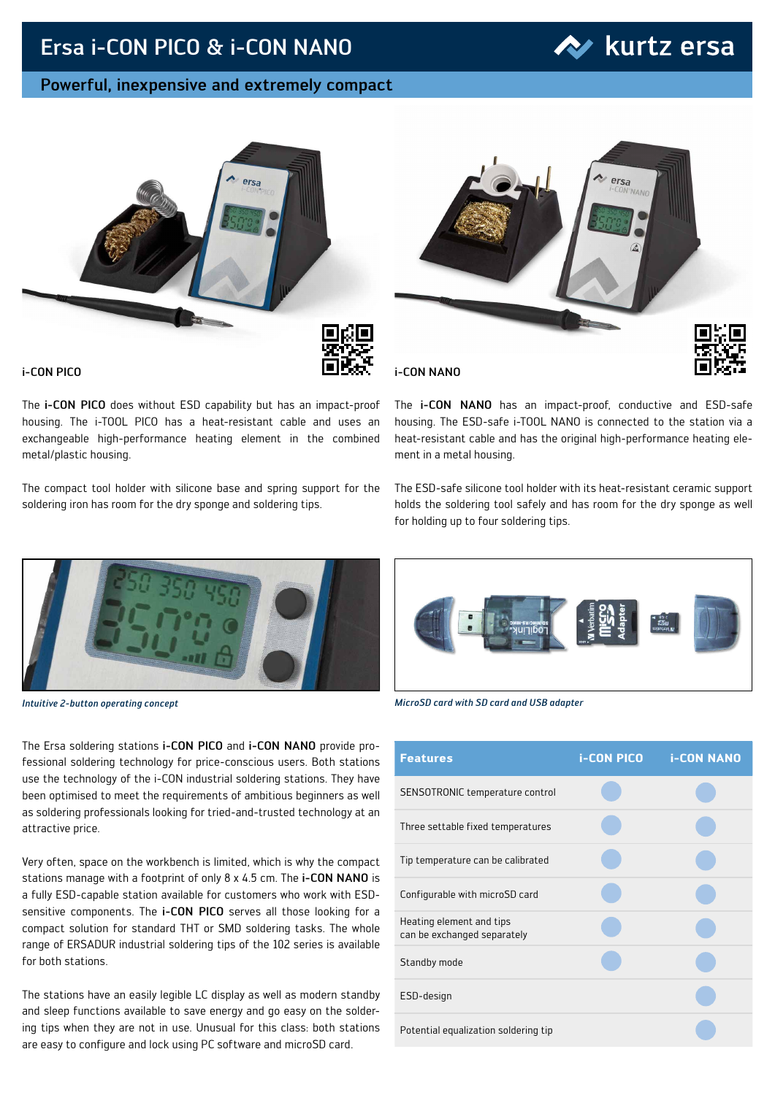## Ersa i-CON PICO & i-CON NANO

### Powerful, inexpensive and extremely compact





i-CON PICO

The i-CON PICO does without ESD capability but has an impact-proof housing. The i-TOOL PICO has a heat-resistant cable and uses an exchangeable high-performance heating element in the combined metal/plastic housing.

The compact tool holder with silicone base and spring support for the soldering iron has room for the dry sponge and soldering tips.



i-CON NANO

The i-CON NANO has an impact-proof, conductive and ESD-safe housing. The ESD-safe i-TOOL NANO is connected to the station via a heat-resistant cable and has the original high-performance heating element in a metal housing.

The ESD-safe silicone tool holder with its heat-resistant ceramic support holds the soldering tool safely and has room for the dry sponge as well for holding up to four soldering tips.



The Ersa soldering stations i-CON PICO and i-CON NANO provide professional soldering technology for price-conscious users. Both stations use the technology of the i-CON industrial soldering stations. They have been optimised to meet the requirements of ambitious beginners as well as soldering professionals looking for tried-and-trusted technology at an attractive price.

Very often, space on the workbench is limited, which is why the compact stations manage with a footprint of only 8 x 4.5 cm. The i-CON NANO is a fully ESD-capable station available for customers who work with ESDsensitive components. The **i-CON PICO** serves all those looking for a compact solution for standard THT or SMD soldering tasks. The whole range of ERSADUR industrial soldering tips of the 102 series is available for both stations.

The stations have an easily legible LC display as well as modern standby and sleep functions available to save energy and go easy on the soldering tips when they are not in use. Unusual for this class: both stations are easy to configure and lock using PC software and microSD card.



*Intuitive 2-button operating concept MicroSD card with SD card and USB adapter*

| <b>Features</b>                                         | <b>i-CON PICO</b> | <b>i-CON NANO</b> |
|---------------------------------------------------------|-------------------|-------------------|
| SENSOTRONIC temperature control                         |                   |                   |
| Three settable fixed temperatures                       |                   |                   |
| Tip temperature can be calibrated                       |                   |                   |
| Configurable with microSD card                          |                   |                   |
| Heating element and tips<br>can be exchanged separately |                   |                   |
| Standby mode                                            |                   |                   |
| ESD-design                                              |                   |                   |
| Potential equalization soldering tip                    |                   |                   |